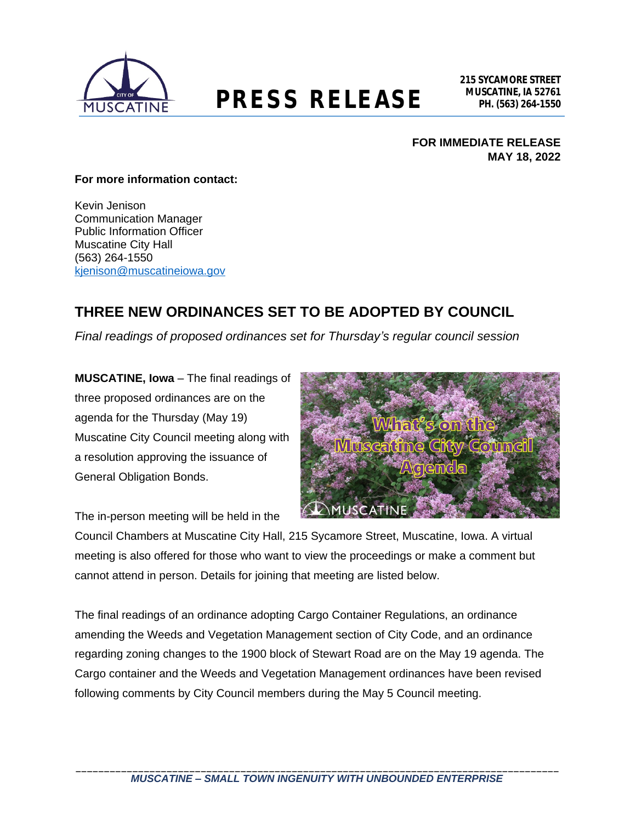

# **MUSCATINE, IA 52761 PRESS RELEASE PH. (563) 264-1550**

### **FOR IMMEDIATE RELEASE MAY 18, 2022**

#### **For more information contact:**

Kevin Jenison Communication Manager Public Information Officer Muscatine City Hall (563) 264-1550 [kjenison@muscatineiowa.gov](mailto:kjenison@muscatineiowa.gov)

# **THREE NEW ORDINANCES SET TO BE ADOPTED BY COUNCIL**

*Final readings of proposed ordinances set for Thursday's regular council session*

**MUSCATINE, Iowa** – The final readings of three proposed ordinances are on the agenda for the Thursday (May 19) Muscatine City Council meeting along with a resolution approving the issuance of General Obligation Bonds.



The in-person meeting will be held in the

Council Chambers at Muscatine City Hall, 215 Sycamore Street, Muscatine, Iowa. A virtual meeting is also offered for those who want to view the proceedings or make a comment but cannot attend in person. Details for joining that meeting are listed below.

The final readings of an ordinance adopting Cargo Container Regulations, an ordinance amending the Weeds and Vegetation Management section of City Code, and an ordinance regarding zoning changes to the 1900 block of Stewart Road are on the May 19 agenda. The Cargo container and the Weeds and Vegetation Management ordinances have been revised following comments by City Council members during the May 5 Council meeting.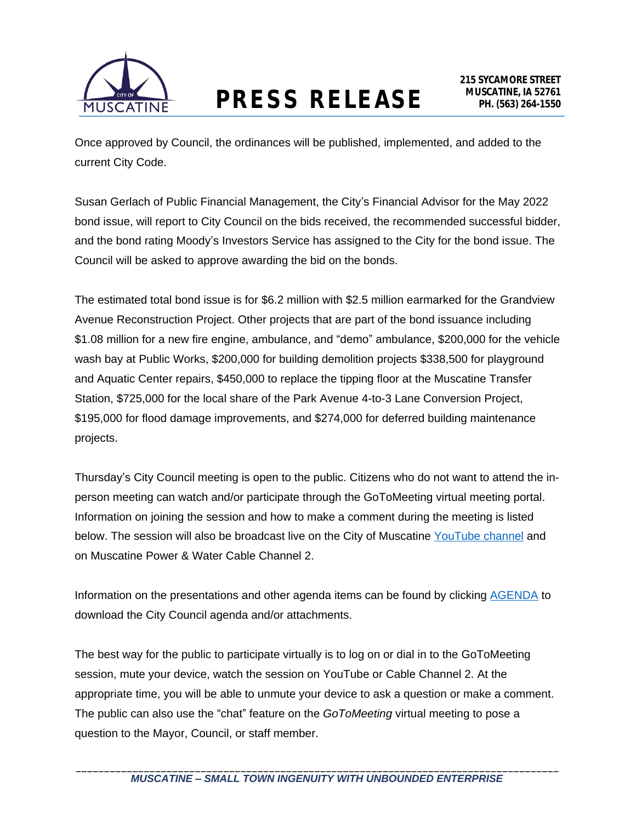

Once approved by Council, the ordinances will be published, implemented, and added to the current City Code.

Susan Gerlach of Public Financial Management, the City's Financial Advisor for the May 2022 bond issue, will report to City Council on the bids received, the recommended successful bidder, and the bond rating Moody's Investors Service has assigned to the City for the bond issue. The Council will be asked to approve awarding the bid on the bonds.

The estimated total bond issue is for \$6.2 million with \$2.5 million earmarked for the Grandview Avenue Reconstruction Project. Other projects that are part of the bond issuance including \$1.08 million for a new fire engine, ambulance, and "demo" ambulance, \$200,000 for the vehicle wash bay at Public Works, \$200,000 for building demolition projects \$338,500 for playground and Aquatic Center repairs, \$450,000 to replace the tipping floor at the Muscatine Transfer Station, \$725,000 for the local share of the Park Avenue 4-to-3 Lane Conversion Project, \$195,000 for flood damage improvements, and \$274,000 for deferred building maintenance projects.

Thursday's City Council meeting is open to the public. Citizens who do not want to attend the inperson meeting can watch and/or participate through the GoToMeeting virtual meeting portal. Information on joining the session and how to make a comment during the meeting is listed below. The session will also be broadcast live on the City of Muscatine [YouTube channel](http://www.muscatineiowa.gov/youtube) and on Muscatine Power & Water Cable Channel 2.

Information on the presentations and other agenda items can be found by clicking [AGENDA](http://www.muscatineiowa.gov/Archive.aspx?AMID=37&Type=Recent) to download the City Council agenda and/or attachments.

The best way for the public to participate virtually is to log on or dial in to the GoToMeeting session, mute your device, watch the session on YouTube or Cable Channel 2. At the appropriate time, you will be able to unmute your device to ask a question or make a comment. The public can also use the "chat" feature on the *GoToMeeting* virtual meeting to pose a question to the Mayor, Council, or staff member.